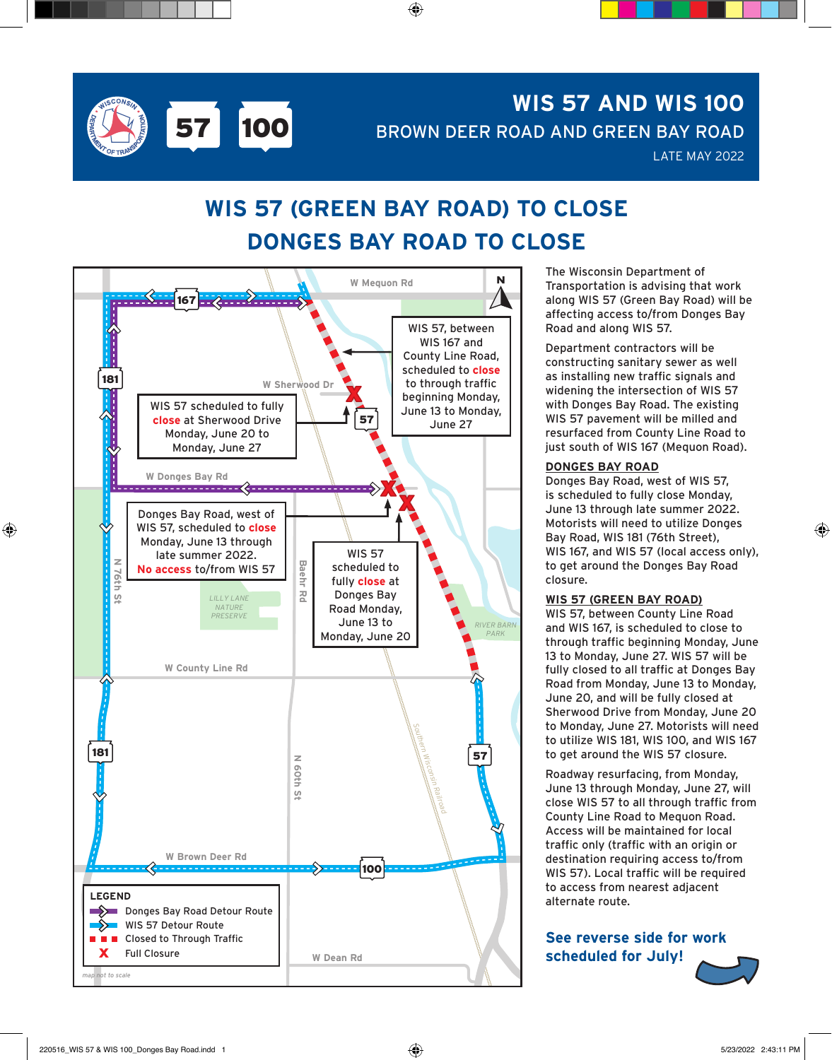

# **WIS 57 AND WIS 100** BROWN DEER ROAD AND GREEN BAY ROAD

LATE MAY 2022

## **WIS 57 (GREEN BAY ROAD) TO CLOSE DONGES BAY ROAD TO CLOSE**

⊕



The Wisconsin Department of Transportation is advising that work along WIS 57 (Green Bay Road) will be affecting access to/from Donges Bay Road and along WIS 57.

Department contractors will be constructing sanitary sewer as well as installing new traffic signals and widening the intersection of WIS 57 with Donges Bay Road. The existing WIS 57 pavement will be milled and resurfaced from County Line Road to just south of WIS 167 (Mequon Road).

#### **DONGES BAY ROAD**

Donges Bay Road, west of WIS 57, is scheduled to fully close Monday, June 13 through late summer 2022. Motorists will need to utilize Donges Bay Road, WIS 181 (76th Street), WIS 167, and WIS 57 (local access only), to get around the Donges Bay Road closure.

#### **WIS 57 (GREEN BAY ROAD)**

WIS 57, between County Line Road and WIS 167, is scheduled to close to through traffic beginning Monday, June 13 to Monday, June 27. WIS 57 will be fully closed to all traffic at Donges Bay Road from Monday, June 13 to Monday, June 20, and will be fully closed at Sherwood Drive from Monday, June 20 to Monday, June 27. Motorists will need to utilize WIS 181, WIS 100, and WIS 167 to get around the WIS 57 closure.

Roadway resurfacing, from Monday, June 13 through Monday, June 27, will close WIS 57 to all through traffic from County Line Road to Mequon Road. Access will be maintained for local traffic only (traffic with an origin or destination requiring access to/from WIS 57). Local traffic will be required to access from nearest adjacent alternate route. |**0**<br>57<br>|y<br>|u

**See reverse side for work scheduled for July!**



⊕

⊕